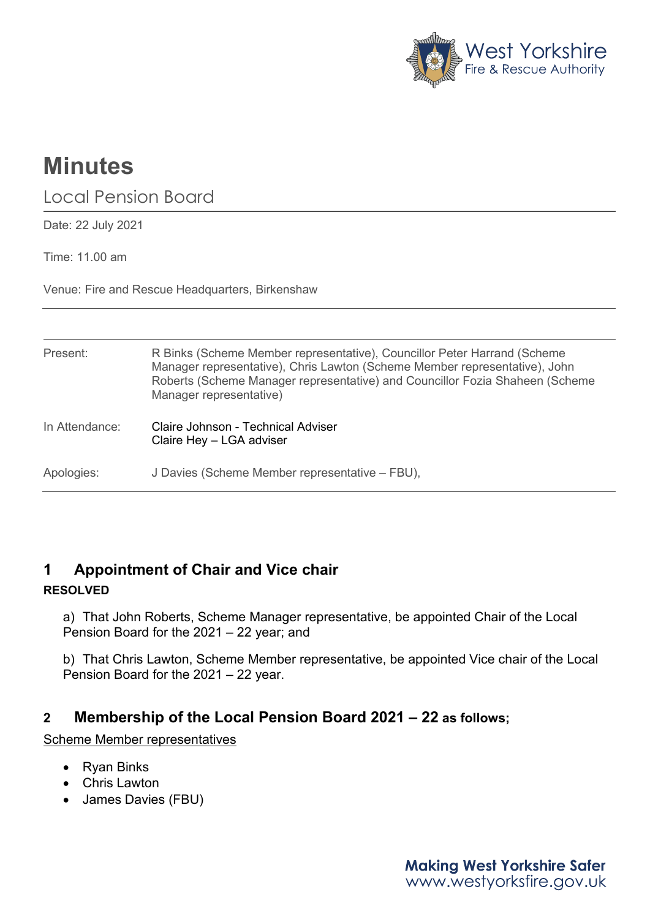

# **Minutes**

Local Pension Board

Date: 22 July 2021

Time: 11.00 am

Venue: Fire and Rescue Headquarters, Birkenshaw

| Present:       | R Binks (Scheme Member representative), Councillor Peter Harrand (Scheme<br>Manager representative), Chris Lawton (Scheme Member representative), John<br>Roberts (Scheme Manager representative) and Councillor Fozia Shaheen (Scheme<br>Manager representative) |
|----------------|-------------------------------------------------------------------------------------------------------------------------------------------------------------------------------------------------------------------------------------------------------------------|
| In Attendance: | Claire Johnson - Technical Adviser<br>Claire Hey - LGA adviser                                                                                                                                                                                                    |
| Apologies:     | J Davies (Scheme Member representative - FBU),                                                                                                                                                                                                                    |

# **1 Appointment of Chair and Vice chair RESOLVED**

a) That John Roberts, Scheme Manager representative, be appointed Chair of the Local Pension Board for the 2021 – 22 year; and

b) That Chris Lawton, Scheme Member representative, be appointed Vice chair of the Local Pension Board for the 2021 – 22 year.

# **2 Membership of the Local Pension Board 2021 – 22 as follows;**

Scheme Member representatives

- Ryan Binks
- Chris Lawton
- James Davies (FBU)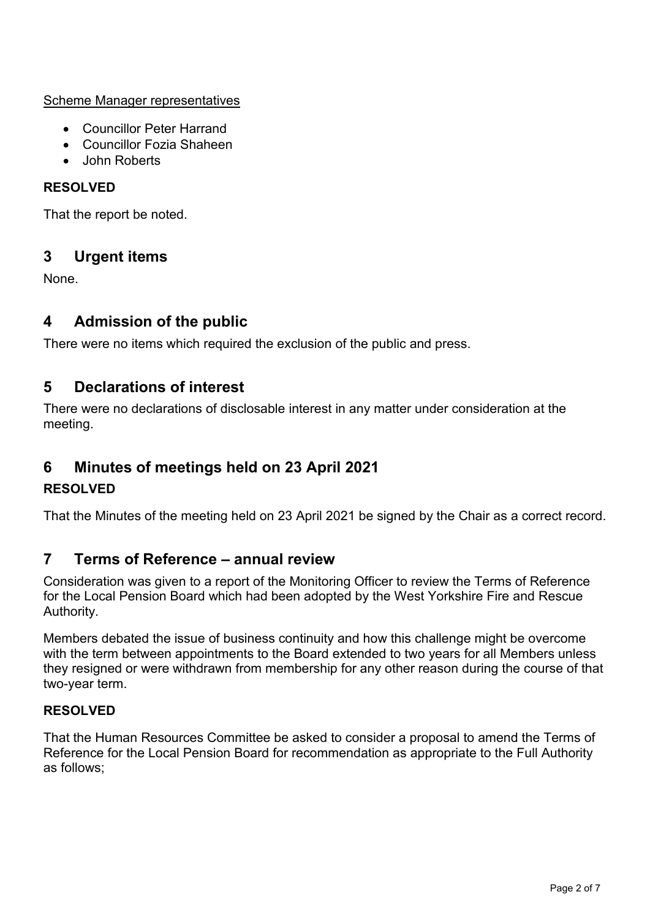Scheme Manager representatives

- Councillor Peter Harrand
- Councillor Fozia Shaheen
- John Roberts

#### **RESOLVED**

That the report be noted.

# **3 Urgent items**

None.

# **4 Admission of the public**

There were no items which required the exclusion of the public and press.

# **5 Declarations of interest**

There were no declarations of disclosable interest in any matter under consideration at the meeting.

# **6 Minutes of meetings held on 23 April 2021**

## **RESOLVED**

That the Minutes of the meeting held on 23 April 2021 be signed by the Chair as a correct record.

# **7 Terms of Reference – annual review**

Consideration was given to a report of the Monitoring Officer to review the Terms of Reference for the Local Pension Board which had been adopted by the West Yorkshire Fire and Rescue Authority.

Members debated the issue of business continuity and how this challenge might be overcome with the term between appointments to the Board extended to two years for all Members unless they resigned or were withdrawn from membership for any other reason during the course of that two-year term.

## **RESOLVED**

That the Human Resources Committee be asked to consider a proposal to amend the Terms of Reference for the Local Pension Board for recommendation as appropriate to the Full Authority as follows;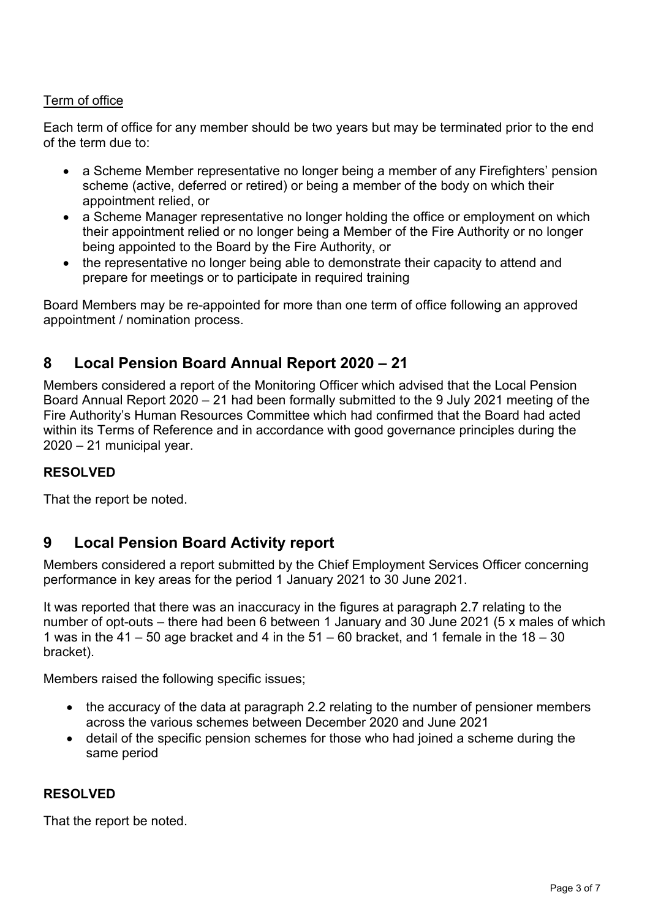#### Term of office

Each term of office for any member should be two years but may be terminated prior to the end of the term due to:

- a Scheme Member representative no longer being a member of any Firefighters' pension scheme (active, deferred or retired) or being a member of the body on which their appointment relied, or
- a Scheme Manager representative no longer holding the office or employment on which their appointment relied or no longer being a Member of the Fire Authority or no longer being appointed to the Board by the Fire Authority, or
- the representative no longer being able to demonstrate their capacity to attend and prepare for meetings or to participate in required training

Board Members may be re-appointed for more than one term of office following an approved appointment / nomination process.

# **8 Local Pension Board Annual Report 2020 – 21**

Members considered a report of the Monitoring Officer which advised that the Local Pension Board Annual Report 2020 – 21 had been formally submitted to the 9 July 2021 meeting of the Fire Authority's Human Resources Committee which had confirmed that the Board had acted within its Terms of Reference and in accordance with good governance principles during the 2020 – 21 municipal year.

#### **RESOLVED**

That the report be noted.

# **9 Local Pension Board Activity report**

Members considered a report submitted by the Chief Employment Services Officer concerning performance in key areas for the period 1 January 2021 to 30 June 2021.

It was reported that there was an inaccuracy in the figures at paragraph 2.7 relating to the number of opt-outs – there had been 6 between 1 January and 30 June 2021 (5 x males of which 1 was in the 41 – 50 age bracket and 4 in the  $51 - 60$  bracket, and 1 female in the  $18 - 30$ bracket).

Members raised the following specific issues;

- the accuracy of the data at paragraph 2.2 relating to the number of pensioner members across the various schemes between December 2020 and June 2021
- detail of the specific pension schemes for those who had joined a scheme during the same period

#### **RESOLVED**

That the report be noted.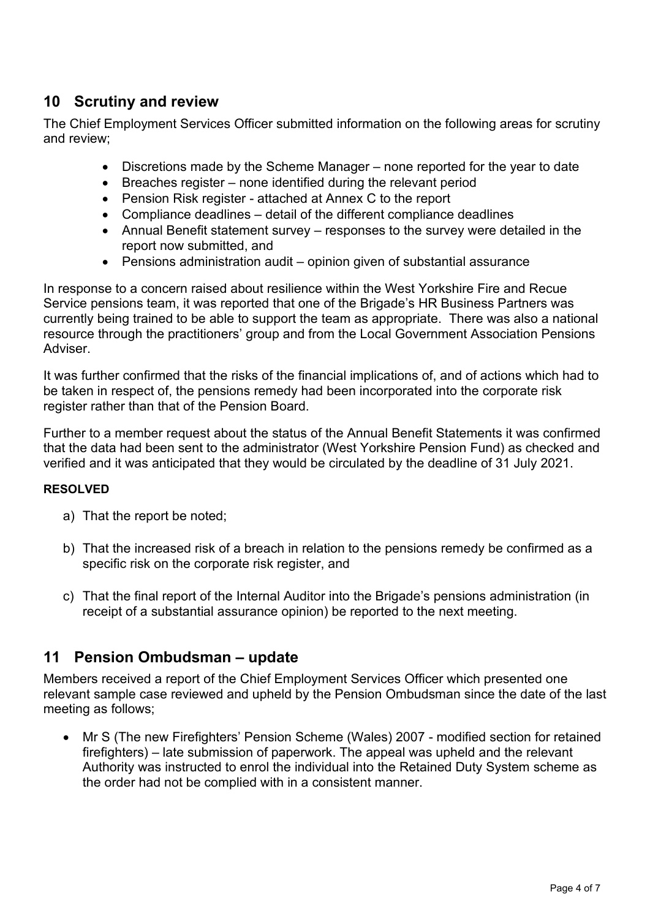# **10 Scrutiny and review**

The Chief Employment Services Officer submitted information on the following areas for scrutiny and review;

- Discretions made by the Scheme Manager none reported for the year to date
- Breaches register none identified during the relevant period
- Pension Risk register attached at Annex C to the report
- Compliance deadlines detail of the different compliance deadlines
- Annual Benefit statement survey responses to the survey were detailed in the report now submitted, and
- Pensions administration audit opinion given of substantial assurance

In response to a concern raised about resilience within the West Yorkshire Fire and Recue Service pensions team, it was reported that one of the Brigade's HR Business Partners was currently being trained to be able to support the team as appropriate. There was also a national resource through the practitioners' group and from the Local Government Association Pensions Adviser.

It was further confirmed that the risks of the financial implications of, and of actions which had to be taken in respect of, the pensions remedy had been incorporated into the corporate risk register rather than that of the Pension Board.

Further to a member request about the status of the Annual Benefit Statements it was confirmed that the data had been sent to the administrator (West Yorkshire Pension Fund) as checked and verified and it was anticipated that they would be circulated by the deadline of 31 July 2021.

#### **RESOLVED**

- a) That the report be noted;
- b) That the increased risk of a breach in relation to the pensions remedy be confirmed as a specific risk on the corporate risk register, and
- c) That the final report of the Internal Auditor into the Brigade's pensions administration (in receipt of a substantial assurance opinion) be reported to the next meeting.

## **11 Pension Ombudsman – update**

Members received a report of the Chief Employment Services Officer which presented one relevant sample case reviewed and upheld by the Pension Ombudsman since the date of the last meeting as follows;

• Mr S (The new Firefighters' Pension Scheme (Wales) 2007 - modified section for retained firefighters) – late submission of paperwork. The appeal was upheld and the relevant Authority was instructed to enrol the individual into the Retained Duty System scheme as the order had not be complied with in a consistent manner.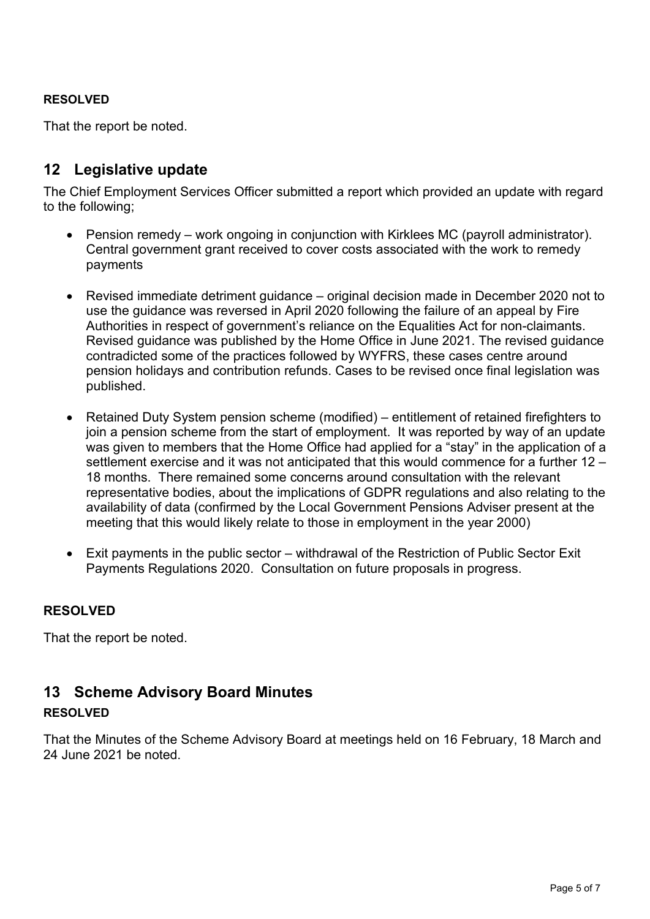#### **RESOLVED**

That the report be noted.

# **12 Legislative update**

The Chief Employment Services Officer submitted a report which provided an update with regard to the following;

- Pension remedy work ongoing in conjunction with Kirklees MC (payroll administrator). Central government grant received to cover costs associated with the work to remedy payments
- Revised immediate detriment guidance original decision made in December 2020 not to use the guidance was reversed in April 2020 following the failure of an appeal by Fire Authorities in respect of government's reliance on the Equalities Act for non-claimants. Revised guidance was published by the Home Office in June 2021. The revised guidance contradicted some of the practices followed by WYFRS, these cases centre around pension holidays and contribution refunds. Cases to be revised once final legislation was published.
- Retained Duty System pension scheme (modified) entitlement of retained firefighters to join a pension scheme from the start of employment. It was reported by way of an update was given to members that the Home Office had applied for a "stay" in the application of a settlement exercise and it was not anticipated that this would commence for a further 12 – 18 months. There remained some concerns around consultation with the relevant representative bodies, about the implications of GDPR regulations and also relating to the availability of data (confirmed by the Local Government Pensions Adviser present at the meeting that this would likely relate to those in employment in the year 2000)
- Exit payments in the public sector withdrawal of the Restriction of Public Sector Exit Payments Regulations 2020. Consultation on future proposals in progress.

#### **RESOLVED**

That the report be noted.

## **13 Scheme Advisory Board Minutes**

#### **RESOLVED**

That the Minutes of the Scheme Advisory Board at meetings held on 16 February, 18 March and 24 June 2021 be noted.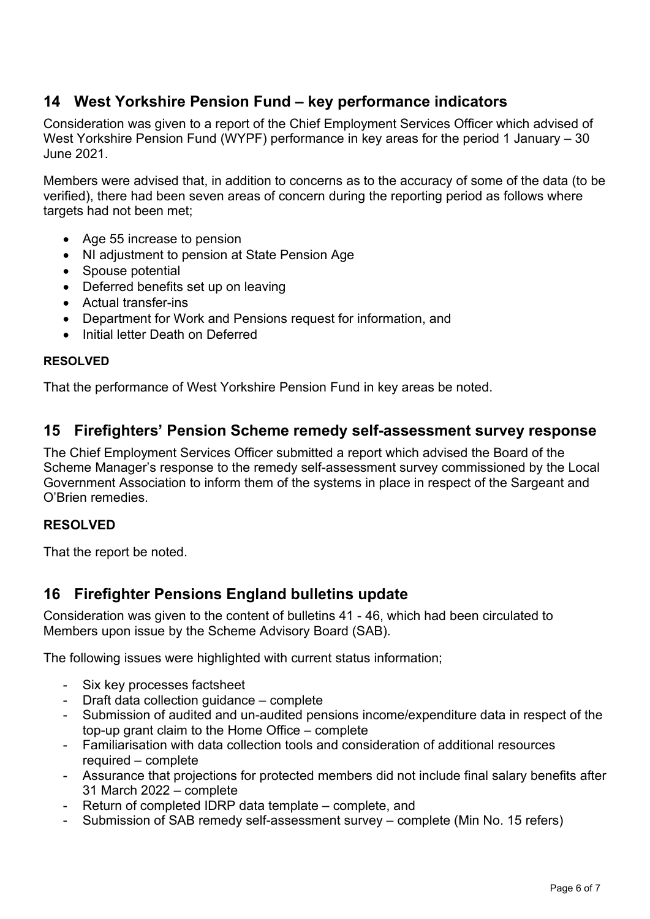# **14 West Yorkshire Pension Fund – key performance indicators**

Consideration was given to a report of the Chief Employment Services Officer which advised of West Yorkshire Pension Fund (WYPF) performance in key areas for the period 1 January – 30 June 2021.

Members were advised that, in addition to concerns as to the accuracy of some of the data (to be verified), there had been seven areas of concern during the reporting period as follows where targets had not been met:

- Age 55 increase to pension
- NI adjustment to pension at State Pension Age
- Spouse potential
- Deferred benefits set up on leaving
- Actual transfer-ins
- Department for Work and Pensions request for information, and
- Initial letter Death on Deferred

#### **RESOLVED**

That the performance of West Yorkshire Pension Fund in key areas be noted.

## **15 Firefighters' Pension Scheme remedy self-assessment survey response**

The Chief Employment Services Officer submitted a report which advised the Board of the Scheme Manager's response to the remedy self-assessment survey commissioned by the Local Government Association to inform them of the systems in place in respect of the Sargeant and O'Brien remedies.

#### **RESOLVED**

That the report be noted.

## **16 Firefighter Pensions England bulletins update**

Consideration was given to the content of bulletins 41 - 46, which had been circulated to Members upon issue by the Scheme Advisory Board (SAB).

The following issues were highlighted with current status information;

- Six key processes factsheet
- Draft data collection guidance complete
- Submission of audited and un-audited pensions income/expenditure data in respect of the top-up grant claim to the Home Office – complete
- Familiarisation with data collection tools and consideration of additional resources required – complete
- Assurance that projections for protected members did not include final salary benefits after 31 March 2022 – complete
- Return of completed IDRP data template complete, and
- Submission of SAB remedy self-assessment survey complete (Min No. 15 refers)